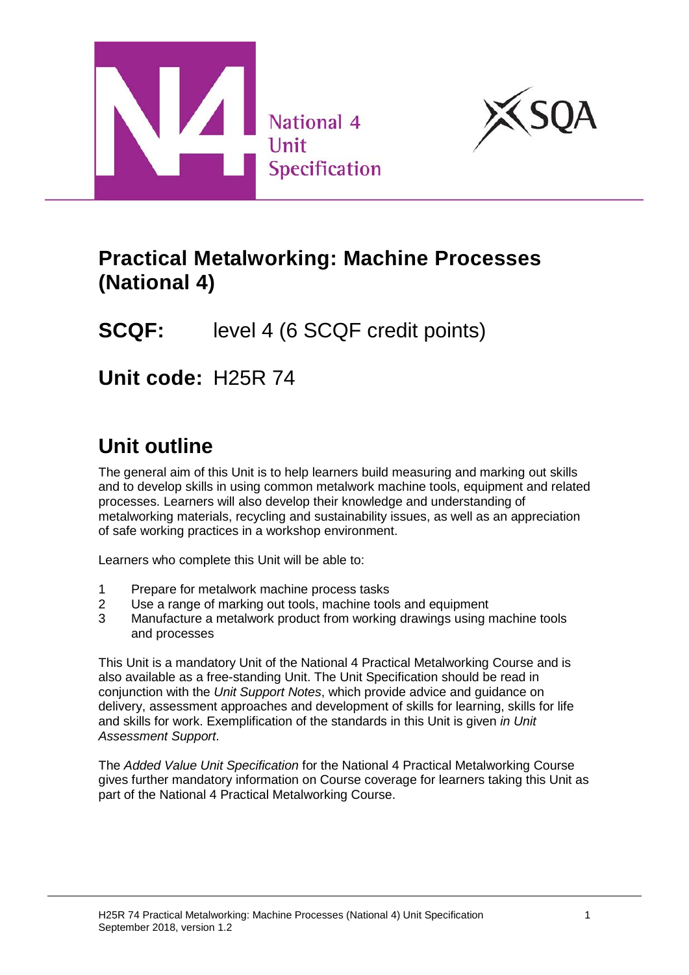



### **Practical Metalworking: Machine Processes (National 4)**

# **SCQF:** level 4 (6 SCQF credit points)

**Unit code:** H25R 74

# **Unit outline**

The general aim of this Unit is to help learners build measuring and marking out skills and to develop skills in using common metalwork machine tools, equipment and related processes. Learners will also develop their knowledge and understanding of metalworking materials, recycling and sustainability issues, as well as an appreciation of safe working practices in a workshop environment.

Learners who complete this Unit will be able to:

- 1 Prepare for metalwork machine process tasks
- 2 Use a range of marking out tools, machine tools and equipment
- 3 Manufacture a metalwork product from working drawings using machine tools and processes

This Unit is a mandatory Unit of the National 4 Practical Metalworking Course and is also available as a free-standing Unit. The Unit Specification should be read in conjunction with the *Unit Support Notes*, which provide advice and guidance on delivery, assessment approaches and development of skills for learning, skills for life and skills for work. Exemplification of the standards in this Unit is given *in Unit Assessment Support*.

The *Added Value Unit Specification* for the National 4 Practical Metalworking Course gives further mandatory information on Course coverage for learners taking this Unit as part of the National 4 Practical Metalworking Course.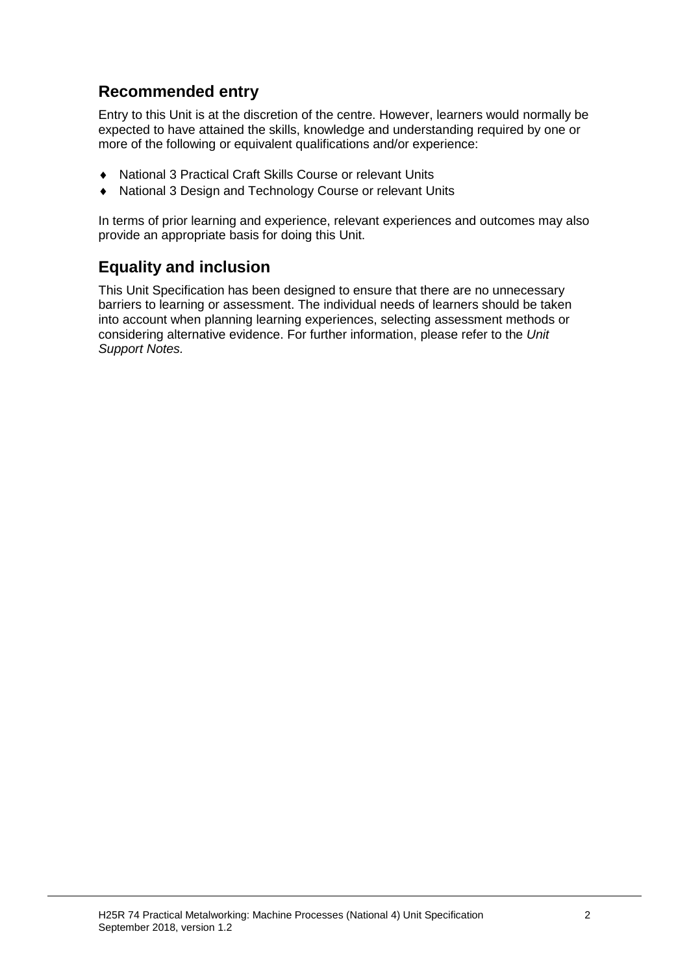### **Recommended entry**

Entry to this Unit is at the discretion of the centre. However, learners would normally be expected to have attained the skills, knowledge and understanding required by one or more of the following or equivalent qualifications and/or experience:

- ♦ National 3 Practical Craft Skills Course or relevant Units
- National 3 Design and Technology Course or relevant Units

In terms of prior learning and experience, relevant experiences and outcomes may also provide an appropriate basis for doing this Unit.

### **Equality and inclusion**

This Unit Specification has been designed to ensure that there are no unnecessary barriers to learning or assessment. The individual needs of learners should be taken into account when planning learning experiences, selecting assessment methods or considering alternative evidence. For further information, please refer to the *Unit Support Notes.*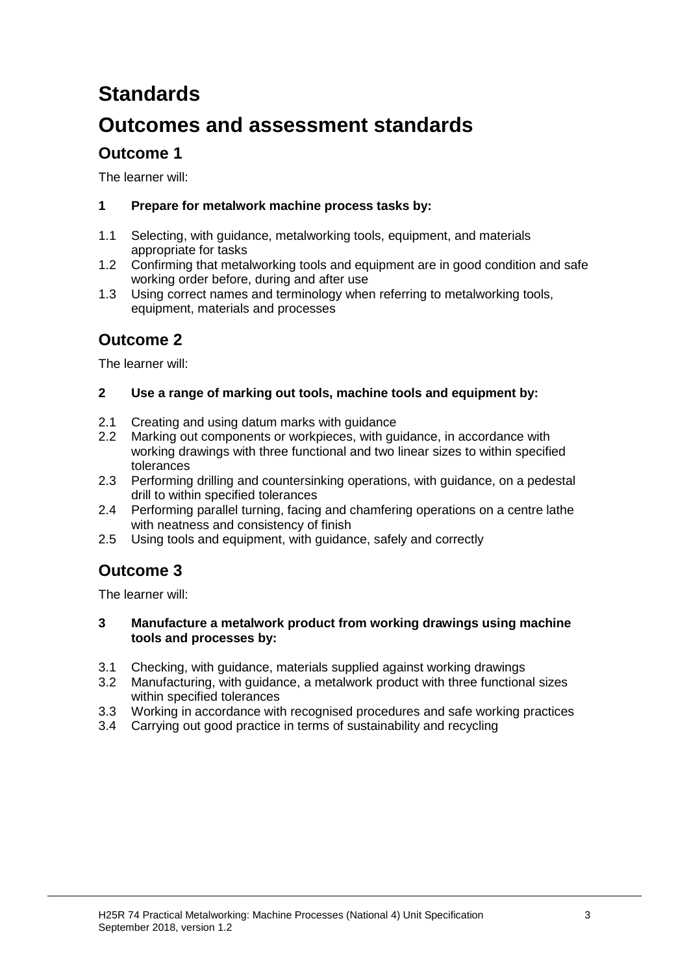# **Standards**

# **Outcomes and assessment standards**

### **Outcome 1**

The learner will:

#### **1 Prepare for metalwork machine process tasks by:**

- 1.1 Selecting, with guidance, metalworking tools, equipment, and materials appropriate for tasks
- 1.2 Confirming that metalworking tools and equipment are in good condition and safe working order before, during and after use
- 1.3 Using correct names and terminology when referring to metalworking tools, equipment, materials and processes

### **Outcome 2**

The learner will:

#### **2 Use a range of marking out tools, machine tools and equipment by:**

- 2.1 Creating and using datum marks with guidance<br>2.2 Marking out components or workpieces, with gu
- Marking out components or workpieces, with guidance, in accordance with working drawings with three functional and two linear sizes to within specified tolerances
- 2.3 Performing drilling and countersinking operations, with guidance, on a pedestal drill to within specified tolerances
- 2.4 Performing parallel turning, facing and chamfering operations on a centre lathe with neatness and consistency of finish
- 2.5 Using tools and equipment, with guidance, safely and correctly

### **Outcome 3**

The learner will:

#### **3 Manufacture a metalwork product from working drawings using machine tools and processes by:**

- 3.1 Checking, with guidance, materials supplied against working drawings
- 3.2 Manufacturing, with guidance, a metalwork product with three functional sizes within specified tolerances
- 3.3 Working in accordance with recognised procedures and safe working practices
- 3.4 Carrying out good practice in terms of sustainability and recycling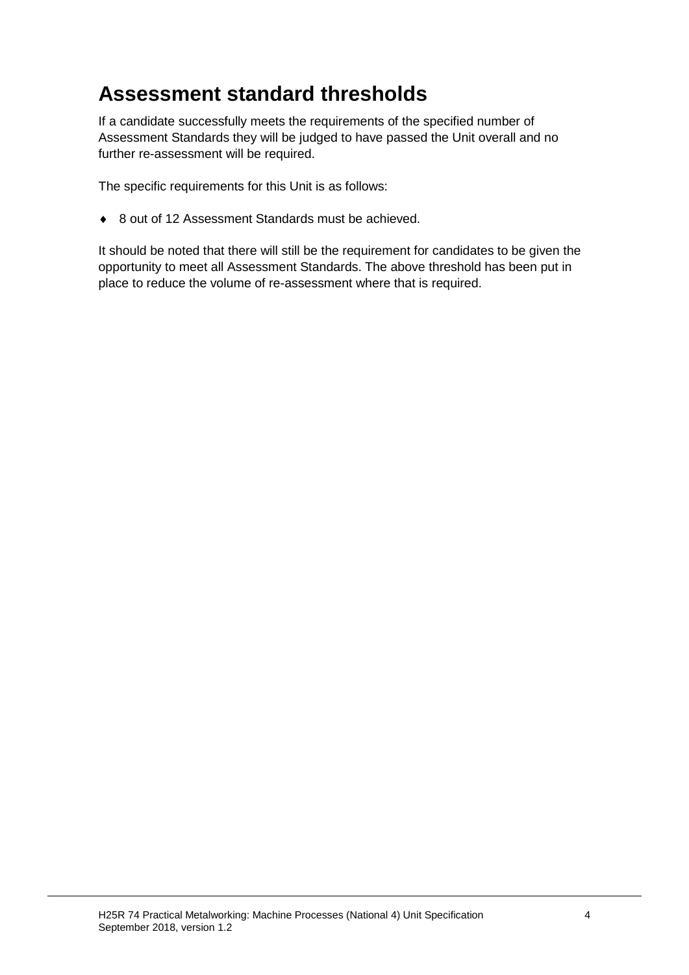# **Assessment standard thresholds**

If a candidate successfully meets the requirements of the specified number of Assessment Standards they will be judged to have passed the Unit overall and no further re-assessment will be required.

The specific requirements for this Unit is as follows:

◆ 8 out of 12 Assessment Standards must be achieved.

It should be noted that there will still be the requirement for candidates to be given the opportunity to meet all Assessment Standards. The above threshold has been put in place to reduce the volume of re-assessment where that is required.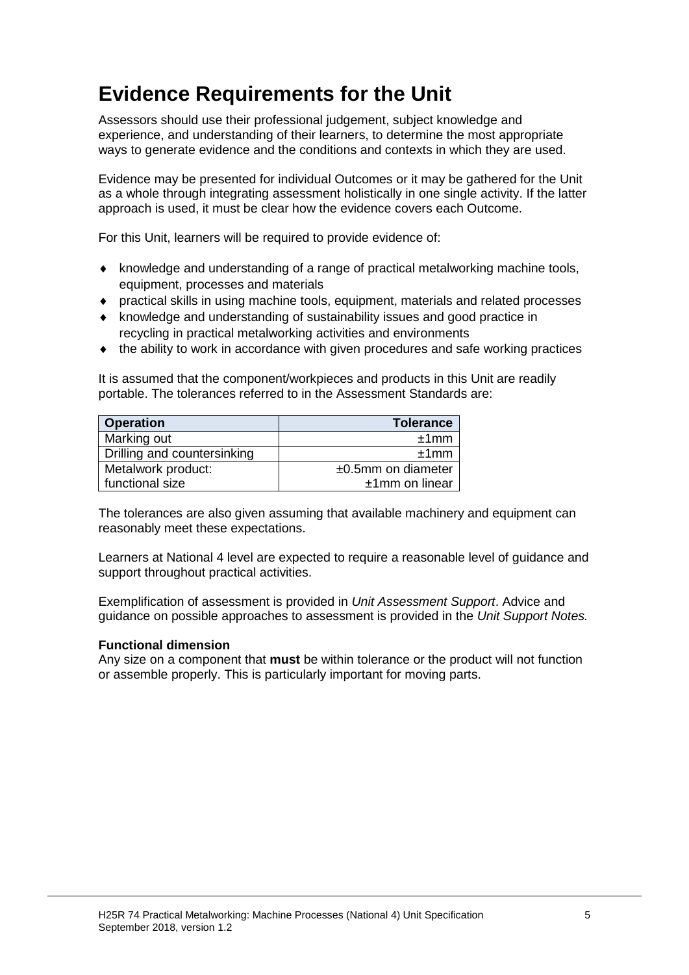# **Evidence Requirements for the Unit**

Assessors should use their professional judgement, subject knowledge and experience, and understanding of their learners, to determine the most appropriate ways to generate evidence and the conditions and contexts in which they are used.

Evidence may be presented for individual Outcomes or it may be gathered for the Unit as a whole through integrating assessment holistically in one single activity. If the latter approach is used, it must be clear how the evidence covers each Outcome.

For this Unit, learners will be required to provide evidence of:

- ♦ knowledge and understanding of a range of practical metalworking machine tools, equipment, processes and materials
- ♦ practical skills in using machine tools, equipment, materials and related processes
- ♦ knowledge and understanding of sustainability issues and good practice in recycling in practical metalworking activities and environments
- ♦ the ability to work in accordance with given procedures and safe working practices

It is assumed that the component/workpieces and products in this Unit are readily portable. The tolerances referred to in the Assessment Standards are:

| <b>Operation</b>            | <b>Tolerance</b>      |  |
|-----------------------------|-----------------------|--|
| Marking out                 | ±1mm                  |  |
| Drilling and countersinking | ±1mm                  |  |
| Metalwork product:          | $±0.5$ mm on diameter |  |
| functional size             | $±1$ mm on linear     |  |

The tolerances are also given assuming that available machinery and equipment can reasonably meet these expectations.

Learners at National 4 level are expected to require a reasonable level of guidance and support throughout practical activities.

Exemplification of assessment is provided in *Unit Assessment Support*. Advice and guidance on possible approaches to assessment is provided in the *Unit Support Notes.*

#### **Functional dimension**

Any size on a component that **must** be within tolerance or the product will not function or assemble properly. This is particularly important for moving parts.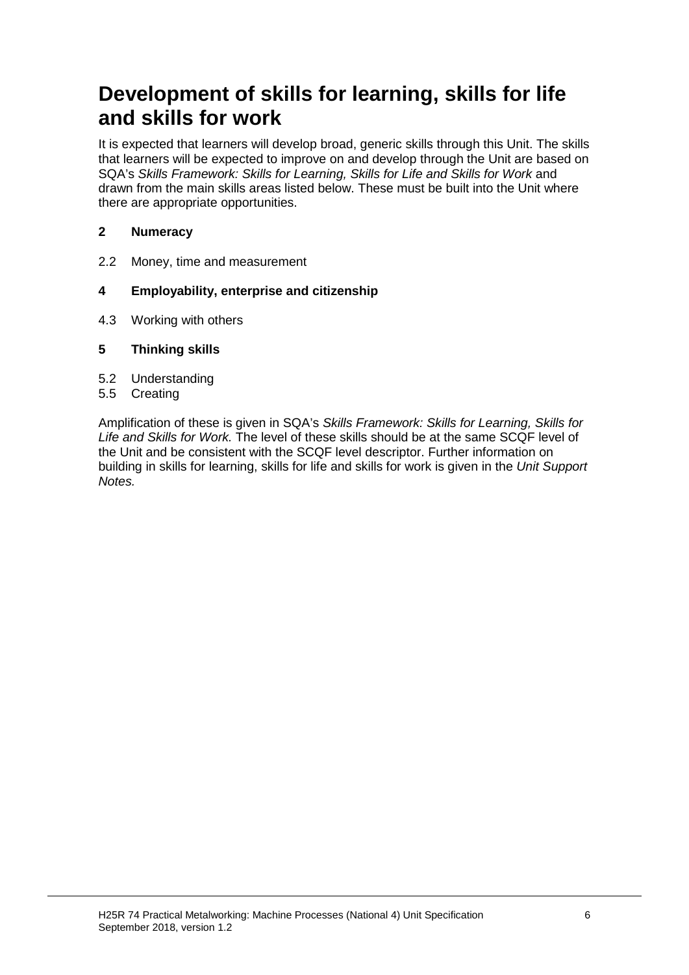## **Development of skills for learning, skills for life and skills for work**

It is expected that learners will develop broad, generic skills through this Unit. The skills that learners will be expected to improve on and develop through the Unit are based on SQA's *Skills Framework: Skills for Learning, Skills for Life and Skills for Work* and drawn from the main skills areas listed below. These must be built into the Unit where there are appropriate opportunities.

#### **2 Numeracy**

2.2 Money, time and measurement

#### **4 Employability, enterprise and citizenship**

4.3 Working with others

#### **5 Thinking skills**

- 5.2 Understanding
- 5.5 Creating

Amplification of these is given in SQA's *Skills Framework: Skills for Learning, Skills for Life and Skills for Work.* The level of these skills should be at the same SCQF level of the Unit and be consistent with the SCQF level descriptor. Further information on building in skills for learning, skills for life and skills for work is given in the *Unit Support Notes.*